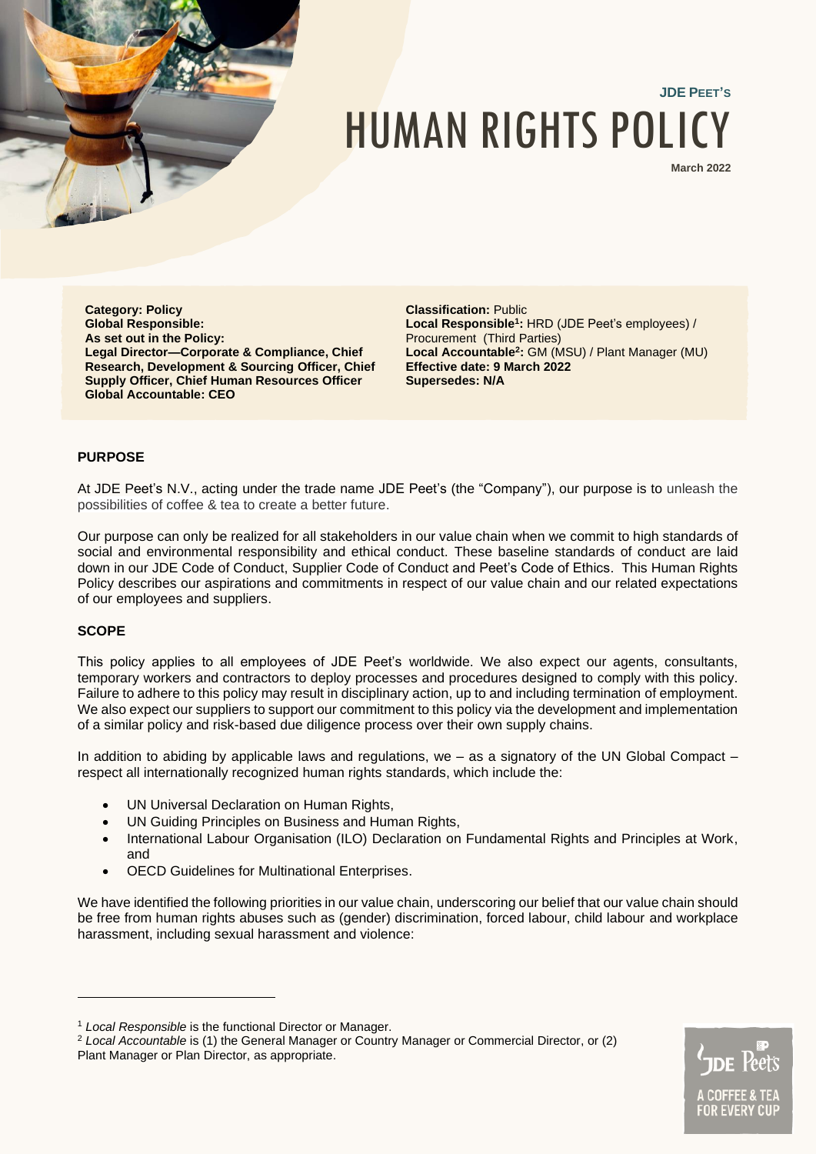

# **JDE PEET'S** HUMAN RIGHTS POLICY

**March 2022**

**Category: Policy Global Responsible: As set out in the Policy: Legal Director—Corporate & Compliance, Chief Research, Development & Sourcing Officer, Chief Supply Officer, Chief Human Resources Officer Global Accountable: CEO**

**Classification:** Public **Local Responsible<sup>1</sup> :** HRD (JDE Peet's employees) / Procurement (Third Parties) **Local Accountable<sup>2</sup> :** GM (MSU) / Plant Manager (MU) **Effective date: 9 March 2022 Supersedes: N/A**

# **PURPOSE**

At JDE Peet's N.V., acting under the trade name JDE Peet's (the "Company"), our purpose is to unleash the possibilities of coffee & tea to create a better future.

Our purpose can only be realized for all stakeholders in our value chain when we commit to high standards of social and environmental responsibility and ethical conduct. These baseline standards of conduct are laid down in our JDE Code of Conduct, Supplier Code of Conduct and Peet's Code of Ethics. This Human Rights Policy describes our aspirations and commitments in respect of our value chain and our related expectations of our employees and suppliers.

## **SCOPE**

This policy applies to all employees of JDE Peet's worldwide. We also expect our agents, consultants, temporary workers and contractors to deploy processes and procedures designed to comply with this policy. Failure to adhere to this policy may result in disciplinary action, up to and including termination of employment. We also expect our suppliers to support our commitment to this policy via the development and implementation of a similar policy and risk-based due diligence process over their own supply chains.

In addition to abiding by applicable laws and regulations, we – as a signatory of the UN Global Compact – respect all internationally recognized human rights standards, which include the:

- UN Universal Declaration on Human Rights,
- UN Guiding Principles on Business and Human Rights,
- International Labour Organisation (ILO) Declaration on Fundamental Rights and Principles at Work, and
- OECD Guidelines for Multinational Enterprises.

We have identified the following priorities in our value chain, underscoring our belief that our value chain should be free from human rights abuses such as (gender) discrimination, forced labour, child labour and workplace harassment, including sexual harassment and violence:



<sup>1</sup> *Local Responsible* is the functional Director or Manager.

<sup>2</sup> *Local Accountable* is (1) the General Manager or Country Manager or Commercial Director, or (2) Plant Manager or Plan Director, as appropriate.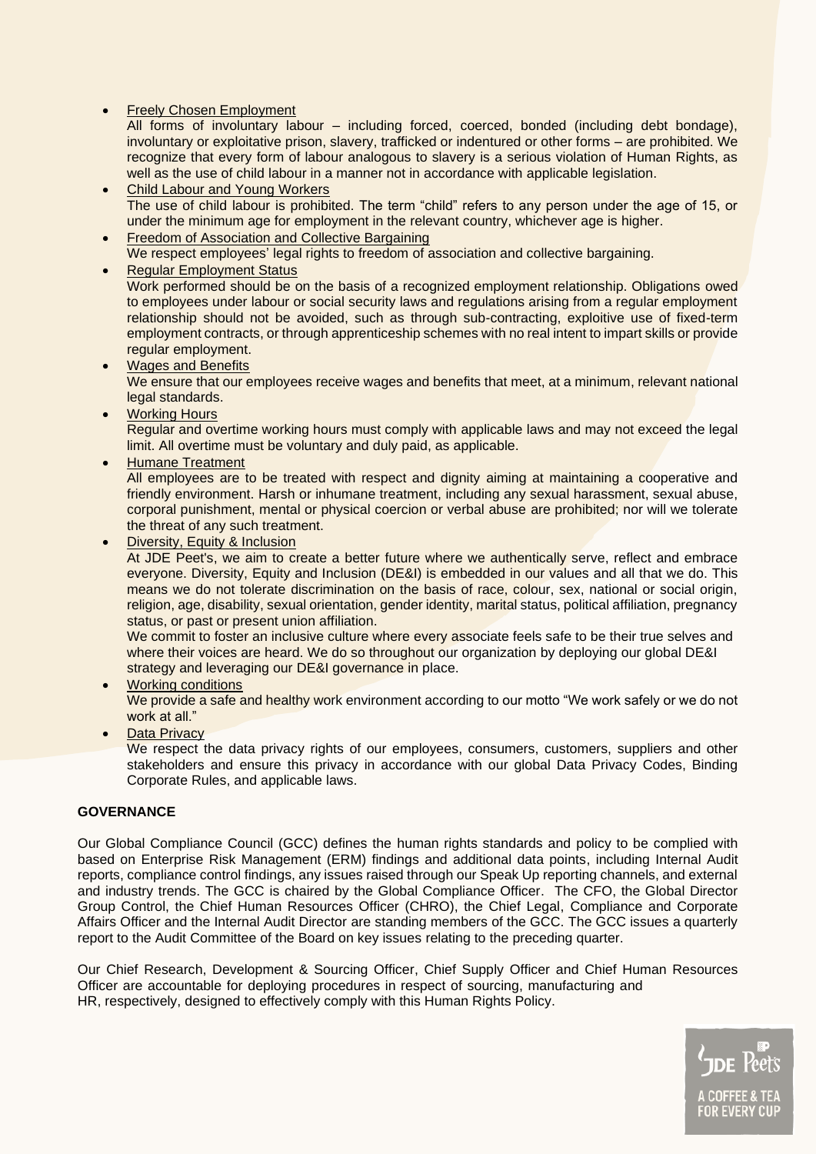**Freely Chosen Employment** 

All forms of involuntary labour – including forced, coerced, bonded (including debt bondage), involuntary or exploitative prison, slavery, trafficked or indentured or other forms – are prohibited. We recognize that every form of labour analogous to slavery is a serious violation of Human Rights, as well as the use of child labour in a manner not in accordance with applicable legislation.

- Child Labour and Young Workers The use of child labour is prohibited. The term "child" refers to any person under the age of 15, or under the minimum age for employment in the relevant country, whichever age is higher.
- Freedom of Association and Collective Bargaining We respect employees' legal rights to freedom of association and collective bargaining.

• Regular Employment Status Work performed should be on the basis of a recognized employment relationship. Obligations owed to employees under labour or social security laws and regulations arising from a regular employment relationship should not be avoided, such as through sub-contracting, exploitive use of fixed-term employment contracts, or through apprenticeship schemes with no real intent to impart skills or provide regular employment.

- Wages and Benefits We ensure that our employees receive wages and benefits that meet, at a minimum, relevant national legal standards.
- Working Hours

Regular and overtime working hours must comply with applicable laws and may not exceed the legal limit. All overtime must be voluntary and duly paid, as applicable.

• Humane Treatment

All employees are to be treated with respect and dignity aiming at maintaining a cooperative and friendly environment. Harsh or inhumane treatment, including any sexual harassment, sexual abuse, corporal punishment, mental or physical coercion or verbal abuse are prohibited; nor will we tolerate the threat of any such treatment.

• Diversity, Equity & Inclusion

At JDE Peet's, we aim to create a better future where we authentically serve, reflect and embrace everyone. Diversity, Equity and Inclusion (DE&I) is embedded in our values and all that we do. This means we do not tolerate discrimination on the basis of race, colour, sex, national or social origin, religion, age, disability, sexual orientation, gender identity, marital status, political affiliation, pregnancy status, or past or present union affiliation.

We commit to foster an inclusive culture where every associate feels safe to be their true selves and where their voices are heard. We do so throughout our organization by deploying our global DE&I strategy and leveraging our DE&I governance in place.

• Working conditions

We provide a safe and healthy work environment according to our motto "We work safely or we do not work at all."

**Data Privacy** 

We respect the data privacy rights of our employees, consumers, customers, suppliers and other stakeholders and ensure this privacy in accordance with our global Data Privacy Codes, Binding Corporate Rules, and applicable laws.

# **GOVERNANCE**

Our Global Compliance Council (GCC) defines the human rights standards and policy to be complied with based on Enterprise Risk Management (ERM) findings and additional data points, including Internal Audit reports, compliance control findings, any issues raised through our Speak Up reporting channels, and external and industry trends. The GCC is chaired by the Global Compliance Officer. The CFO, the Global Director Group Control, the Chief Human Resources Officer (CHRO), the Chief Legal, Compliance and Corporate Affairs Officer and the Internal Audit Director are standing members of the GCC. The GCC issues a quarterly report to the Audit Committee of the Board on key issues relating to the preceding quarter.

Our Chief Research, Development & Sourcing Officer, Chief Supply Officer and Chief Human Resources Officer are accountable for deploying procedures in respect of sourcing, manufacturing and HR, respectively, designed to effectively comply with this Human Rights Policy.